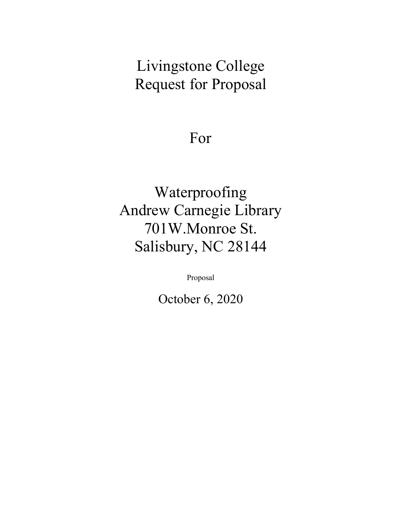# Livingstone College Request for Proposal

## For

# Waterproofing Andrew Carnegie Library 701W.Monroe St. Salisbury, NC 28144

Proposal

October 6, 2020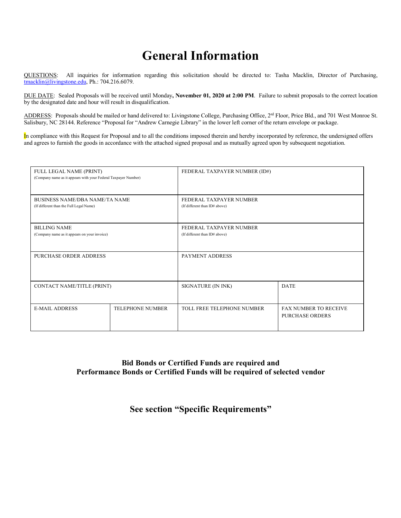## **General Information**

QUESTIONS: All inquiries for information regarding this solicitation should be directed to: Tasha Macklin, Director of Purchasing, tmacklin@livingstone.edu, Ph.: 704.216.6079.

DUE DATE: Sealed Proposals will be received until Monday**, November 01, 2020 at 2:00 PM**. Failure to submit proposals to the correct location by the designated date and hour will result in disqualification.

ADDRESS: Proposals should be mailed or hand delivered to: Livingstone College, Purchasing Office, 2<sup>rd</sup> Floor, Price Bld., and 701 West Monroe St. Salisbury, NC 28144. Reference "Proposal for "Andrew Carnegie Library" in the lower left corner of the return envelope or package.

In compliance with this Request for Proposal and to all the conditions imposed therein and hereby incorporated by reference, the undersigned offers and agrees to furnish the goods in accordance with the attached signed proposal and as mutually agreed upon by subsequent negotiation.

| FULL LEGAL NAME (PRINT)<br>(Company name as it appears with your Federal Taxpayer Number) |                         | FEDERAL TAXPAYER NUMBER (ID#)                            |                                                        |
|-------------------------------------------------------------------------------------------|-------------------------|----------------------------------------------------------|--------------------------------------------------------|
| <b>BUSINESS NAME/DBA NAME/TA NAME</b><br>(If different than the Full Legal Name)          |                         | FEDERAL TAXPAYER NUMBER<br>(If different than ID# above) |                                                        |
| <b>BILLING NAME</b><br>(Company name as it appears on your invoice)                       |                         | FEDERAL TAXPAYER NUMBER<br>(If different than ID# above) |                                                        |
| PURCHASE ORDER ADDRESS                                                                    |                         | PAYMENT ADDRESS                                          |                                                        |
| CONTACT NAME/TITLE (PRINT)                                                                |                         | SIGNATURE (IN INK)                                       | <b>DATE</b>                                            |
| <b>E-MAIL ADDRESS</b>                                                                     | <b>TELEPHONE NUMBER</b> | TOLL FREE TELEPHONE NUMBER                               | <b>FAX NUMBER TO RECEIVE</b><br><b>PURCHASE ORDERS</b> |

#### **Bid Bonds or Certified Funds are required and Performance Bonds or Certified Funds will be required of selected vendor**

#### **See section "Specific Requirements"**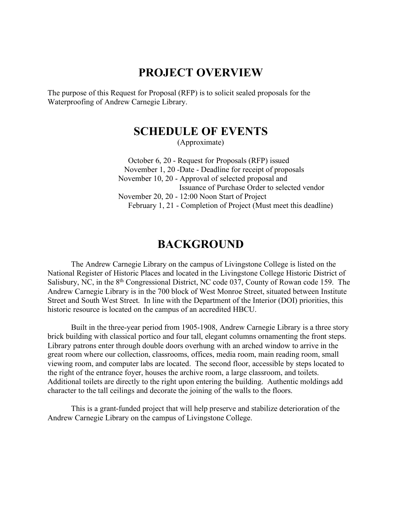### **PROJECT OVERVIEW**

The purpose of this Request for Proposal (RFP) is to solicit sealed proposals for the Waterproofing of Andrew Carnegie Library.

## **SCHEDULE OF EVENTS**

(Approximate)

 October 6, 20 - Request for Proposals (RFP) issued November 1, 20 -Date - Deadline for receipt of proposals November 10, 20 - Approval of selected proposal and Issuance of Purchase Order to selected vendor November 20, 20 - 12:00 Noon Start of Project February 1, 21 - Completion of Project (Must meet this deadline)

### **BACKGROUND**

The Andrew Carnegie Library on the campus of Livingstone College is listed on the National Register of Historic Places and located in the Livingstone College Historic District of Salisbury, NC, in the  $8<sup>th</sup>$  Congressional District, NC code 037, County of Rowan code 159. The Andrew Carnegie Library is in the 700 block of West Monroe Street, situated between Institute Street and South West Street. In line with the Department of the Interior (DOI) priorities, this historic resource is located on the campus of an accredited HBCU.

Built in the three-year period from 1905-1908, Andrew Carnegie Library is a three story brick building with classical portico and four tall, elegant columns ornamenting the front steps. Library patrons enter through double doors overhung with an arched window to arrive in the great room where our collection, classrooms, offices, media room, main reading room, small viewing room, and computer labs are located. The second floor, accessible by steps located to the right of the entrance foyer, houses the archive room, a large classroom, and toilets. Additional toilets are directly to the right upon entering the building. Authentic moldings add character to the tall ceilings and decorate the joining of the walls to the floors.

This is a grant-funded project that will help preserve and stabilize deterioration of the Andrew Carnegie Library on the campus of Livingstone College.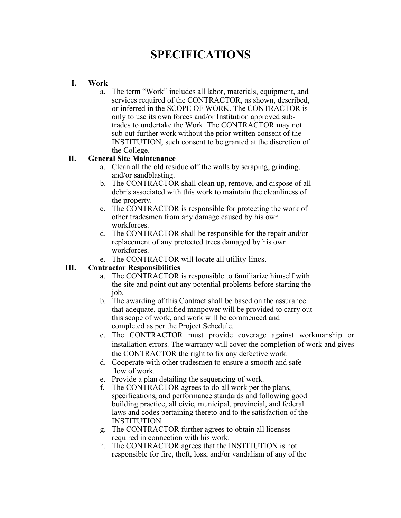## **SPECIFICATIONS**

#### **I. Work**

a. The term "Work" includes all labor, materials, equipment, and services required of the CONTRACTOR, as shown, described, or inferred in the SCOPE OF WORK. The CONTRACTOR is only to use its own forces and/or Institution approved subtrades to undertake the Work. The CONTRACTOR may not sub out further work without the prior written consent of the INSTITUTION, such consent to be granted at the discretion of the College.

#### **II. General Site Maintenance**

- a. Clean all the old residue off the walls by scraping, grinding, and/or sandblasting.
- b. The CONTRACTOR shall clean up, remove, and dispose of all debris associated with this work to maintain the cleanliness of the property.
- c. The CONTRACTOR is responsible for protecting the work of other tradesmen from any damage caused by his own workforces.
- d. The CONTRACTOR shall be responsible for the repair and/or replacement of any protected trees damaged by his own workforces.
- e. The CONTRACTOR will locate all utility lines.

#### **III. Contractor Responsibilities**

- a. The CONTRACTOR is responsible to familiarize himself with the site and point out any potential problems before starting the job.
- b. The awarding of this Contract shall be based on the assurance that adequate, qualified manpower will be provided to carry out this scope of work, and work will be commenced and completed as per the Project Schedule.
- c. The CONTRACTOR must provide coverage against workmanship or installation errors. The warranty will cover the completion of work and gives the CONTRACTOR the right to fix any defective work.
- d. Cooperate with other tradesmen to ensure a smooth and safe flow of work.
- e. Provide a plan detailing the sequencing of work.
- f. The CONTRACTOR agrees to do all work per the plans, specifications, and performance standards and following good building practice, all civic, municipal, provincial, and federal laws and codes pertaining thereto and to the satisfaction of the INSTITUTION.
- g. The CONTRACTOR further agrees to obtain all licenses required in connection with his work.
- h. The CONTRACTOR agrees that the INSTITUTION is not responsible for fire, theft, loss, and/or vandalism of any of the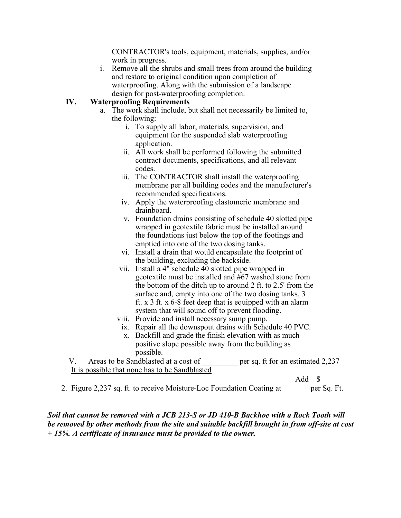CONTRACTOR's tools, equipment, materials, supplies, and/or work in progress.

i. Remove all the shrubs and small trees from around the building and restore to original condition upon completion of waterproofing. Along with the submission of a landscape design for post-waterproofing completion.

#### **IV. Waterproofing Requirements**

- a. The work shall include, but shall not necessarily be limited to, the following:
	- i. To supply all labor, materials, supervision, and equipment for the suspended slab waterproofing application.
	- ii. All work shall be performed following the submitted contract documents, specifications, and all relevant codes.
	- iii. The CONTRACTOR shall install the waterproofing membrane per all building codes and the manufacturer's recommended specifications.
	- iv. Apply the waterproofing elastomeric membrane and drainboard.
	- v. Foundation drains consisting of schedule 40 slotted pipe wrapped in geotextile fabric must be installed around the foundations just below the top of the footings and emptied into one of the two dosing tanks.
	- vi. Install a drain that would encapsulate the footprint of the building, excluding the backside.
	- vii. Install a 4" schedule 40 slotted pipe wrapped in geotextile must be installed and #67 washed stone from the bottom of the ditch up to around 2 ft. to 2.5' from the surface and, empty into one of the two dosing tanks, 3 ft. x 3 ft. x 6-8 feet deep that is equipped with an alarm system that will sound off to prevent flooding.
	- viii. Provide and install necessary sump pump.
		- ix. Repair all the downspout drains with Schedule 40 PVC.
		- x. Backfill and grade the finish elevation with as much positive slope possible away from the building as possible.

V. Areas to be Sandblasted at a cost of <u>equilibrary</u> per sq. ft for an estimated 2,237 It is possible that none has to be Sandblasted

Add \$

2. Figure 2,237 sq. ft. to receive Moisture-Loc Foundation Coating at early per Sq. Ft.

*Soil that cannot be removed with a JCB 213-S or JD 410-B Backhoe with a Rock Tooth will be removed by other methods from the site and suitable backfill brought in from off-site at cost + 15%. A certificate of insurance must be provided to the owner.*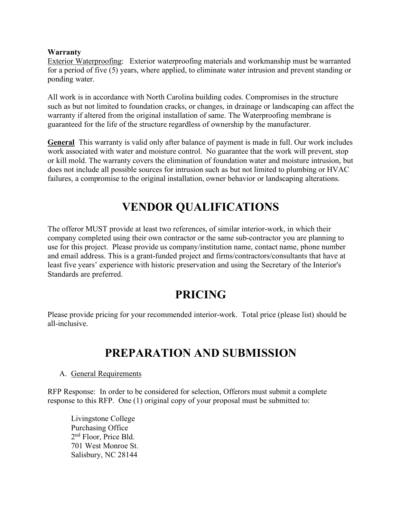#### **Warranty**

Exterior Waterproofing: Exterior waterproofing materials and workmanship must be warranted for a period of five (5) years, where applied, to eliminate water intrusion and prevent standing or ponding water.

All work is in accordance with North Carolina building codes. Compromises in the structure such as but not limited to foundation cracks, or changes, in drainage or landscaping can affect the warranty if altered from the original installation of same. The Waterproofing membrane is guaranteed for the life of the structure regardless of ownership by the manufacturer.

**General** This warranty is valid only after balance of payment is made in full. Our work includes work associated with water and moisture control. No guarantee that the work will prevent, stop or kill mold. The warranty covers the elimination of foundation water and moisture intrusion, but does not include all possible sources for intrusion such as but not limited to plumbing or HVAC failures, a compromise to the original installation, owner behavior or landscaping alterations.

## **VENDOR QUALIFICATIONS**

The offeror MUST provide at least two references, of similar interior-work, in which their company completed using their own contractor or the same sub-contractor you are planning to use for this project. Please provide us company/institution name, contact name, phone number and email address. This is a grant-funded project and firms/contractors/consultants that have at least five years' experience with historic preservation and using the Secretary of the Interior's Standards are preferred.

## **PRICING**

Please provide pricing for your recommended interior-work. Total price (please list) should be all-inclusive.

## **PREPARATION AND SUBMISSION**

#### A. General Requirements

RFP Response: In order to be considered for selection, Offerors must submit a complete response to this RFP. One (1) original copy of your proposal must be submitted to:

Livingstone College Purchasing Office 2nd Floor, Price Bld. 701 West Monroe St. Salisbury, NC 28144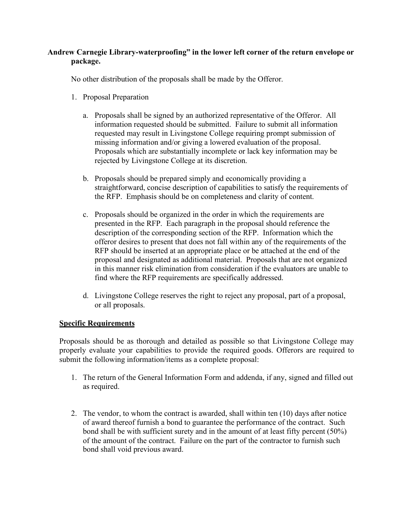#### **Andrew Carnegie Library-waterproofing" in the lower left corner of the return envelope or package.**

No other distribution of the proposals shall be made by the Offeror.

- 1. Proposal Preparation
	- a. Proposals shall be signed by an authorized representative of the Offeror. All information requested should be submitted. Failure to submit all information requested may result in Livingstone College requiring prompt submission of missing information and/or giving a lowered evaluation of the proposal. Proposals which are substantially incomplete or lack key information may be rejected by Livingstone College at its discretion.
	- b. Proposals should be prepared simply and economically providing a straightforward, concise description of capabilities to satisfy the requirements of the RFP. Emphasis should be on completeness and clarity of content.
	- c. Proposals should be organized in the order in which the requirements are presented in the RFP. Each paragraph in the proposal should reference the description of the corresponding section of the RFP. Information which the offeror desires to present that does not fall within any of the requirements of the RFP should be inserted at an appropriate place or be attached at the end of the proposal and designated as additional material. Proposals that are not organized in this manner risk elimination from consideration if the evaluators are unable to find where the RFP requirements are specifically addressed.
	- d. Livingstone College reserves the right to reject any proposal, part of a proposal, or all proposals.

#### **Specific Requirements**

Proposals should be as thorough and detailed as possible so that Livingstone College may properly evaluate your capabilities to provide the required goods. Offerors are required to submit the following information/items as a complete proposal:

- 1. The return of the General Information Form and addenda, if any, signed and filled out as required.
- 2. The vendor, to whom the contract is awarded, shall within ten (10) days after notice of award thereof furnish a bond to guarantee the performance of the contract. Such bond shall be with sufficient surety and in the amount of at least fifty percent (50%) of the amount of the contract. Failure on the part of the contractor to furnish such bond shall void previous award.